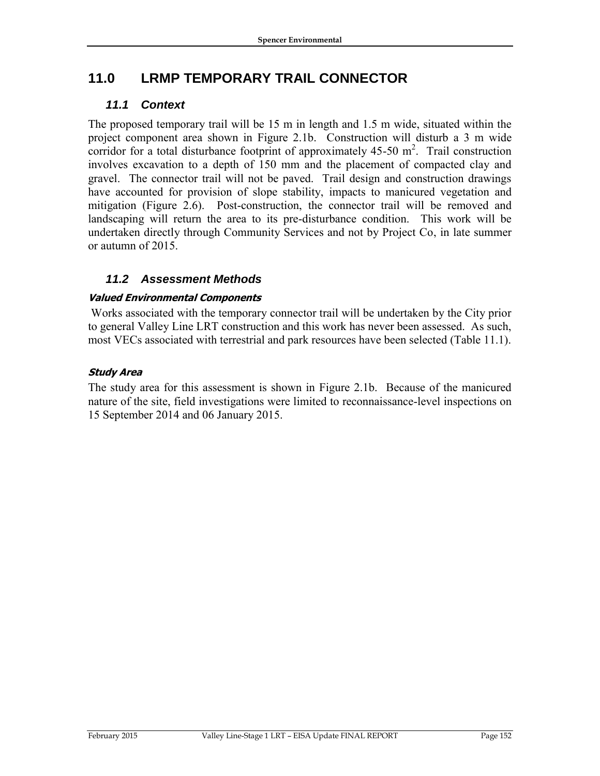# **11.0 LRMP TEMPORARY TRAIL CONNECTOR**

# *11.1 Context*

The proposed temporary trail will be 15 m in length and 1.5 m wide, situated within the project component area shown in Figure 2.1b. Construction will disturb a 3 m wide corridor for a total disturbance footprint of approximately  $45-50$  m<sup>2</sup>. Trail construction involves excavation to a depth of 150 mm and the placement of compacted clay and gravel. The connector trail will not be paved. Trail design and construction drawings have accounted for provision of slope stability, impacts to manicured vegetation and mitigation (Figure 2.6). Post-construction, the connector trail will be removed and landscaping will return the area to its pre-disturbance condition. This work will be undertaken directly through Community Services and not by Project Co, in late summer or autumn of 2015.

# *11.2 Assessment Methods*

### **Valued Environmental Components**

Works associated with the temporary connector trail will be undertaken by the City prior to general Valley Line LRT construction and this work has never been assessed. As such, most VECs associated with terrestrial and park resources have been selected (Table 11.1).

### **Study Area**

The study area for this assessment is shown in Figure 2.1b. Because of the manicured nature of the site, field investigations were limited to reconnaissance-level inspections on 15 September 2014 and 06 January 2015.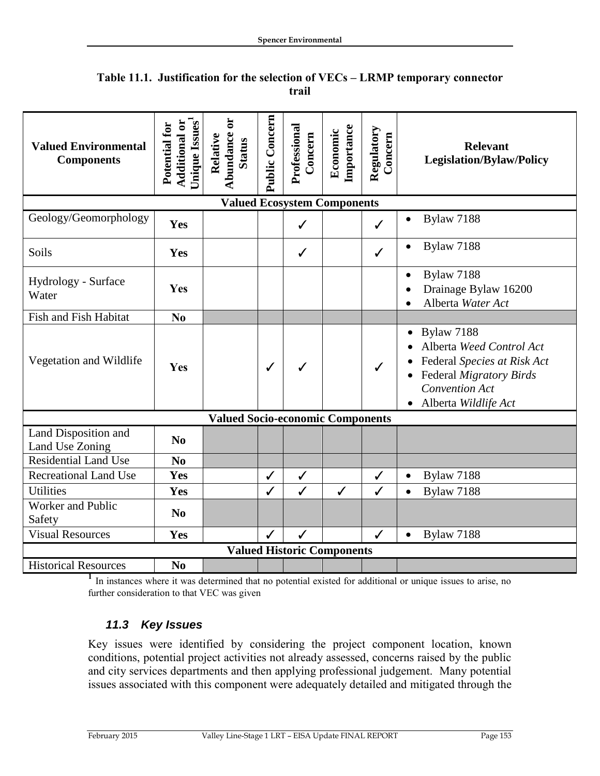| <b>Valued Environmental</b><br><b>Components</b> | Unique Issues <sup>1</sup><br><b>Additional or</b><br>Potential for | ä<br>Abundance<br>Relative<br><b>Status</b> | Public Concern | Professional<br>Concern | Importance<br>Economic | Regulatory<br>Concern | <b>Relevant</b><br><b>Legislation/Bylaw/Policy</b>                                                                                                         |
|--------------------------------------------------|---------------------------------------------------------------------|---------------------------------------------|----------------|-------------------------|------------------------|-----------------------|------------------------------------------------------------------------------------------------------------------------------------------------------------|
| <b>Valued Ecosystem Components</b>               |                                                                     |                                             |                |                         |                        |                       |                                                                                                                                                            |
| Geology/Geomorphology                            | Yes                                                                 |                                             |                | $\checkmark$            |                        | $\checkmark$          | Bylaw 7188                                                                                                                                                 |
| Soils                                            | Yes                                                                 |                                             |                | $\checkmark$            |                        | $\checkmark$          | <b>Bylaw 7188</b>                                                                                                                                          |
| Hydrology - Surface<br>Water                     | Yes                                                                 |                                             |                |                         |                        |                       | <b>Bylaw 7188</b><br>$\bullet$<br>Drainage Bylaw 16200<br>Alberta Water Act                                                                                |
| Fish and Fish Habitat                            | N <sub>0</sub>                                                      |                                             |                |                         |                        |                       |                                                                                                                                                            |
| Vegetation and Wildlife                          | Yes                                                                 |                                             | ✓              |                         |                        | ✓                     | <b>Bylaw 7188</b><br>Alberta Weed Control Act<br>Federal Species at Risk Act<br>Federal Migratory Birds<br><b>Convention Act</b><br>• Alberta Wildlife Act |
| <b>Valued Socio-economic Components</b>          |                                                                     |                                             |                |                         |                        |                       |                                                                                                                                                            |
| Land Disposition and<br>Land Use Zoning          | N <sub>0</sub>                                                      |                                             |                |                         |                        |                       |                                                                                                                                                            |
| <b>Residential Land Use</b>                      | N <sub>0</sub>                                                      |                                             |                |                         |                        |                       |                                                                                                                                                            |
| <b>Recreational Land Use</b>                     | Yes                                                                 |                                             | ✓              | $\checkmark$            |                        | ✓                     | <b>Bylaw 7188</b><br>$\bullet$                                                                                                                             |
| <b>Utilities</b>                                 | Yes                                                                 |                                             | ✓              | $\checkmark$            | $\checkmark$           | $\checkmark$          | Bylaw 7188<br>$\bullet$                                                                                                                                    |
| Worker and Public<br>Safety                      | N <sub>0</sub>                                                      |                                             |                |                         |                        |                       |                                                                                                                                                            |
| <b>Visual Resources</b>                          | Yes                                                                 |                                             | ✓              | ✓                       |                        | ✓                     | <b>Bylaw 7188</b><br>$\bullet$                                                                                                                             |
| <b>Valued Historic Components</b>                |                                                                     |                                             |                |                         |                        |                       |                                                                                                                                                            |
| <b>Historical Resources</b>                      | N <sub>0</sub>                                                      |                                             |                |                         |                        |                       |                                                                                                                                                            |

### **Table 11.1. Justification for the selection of VECs – LRMP temporary connector trail**

<sup>1</sup> In instances where it was determined that no potential existed for additional or unique issues to arise, no further consideration to that VEC was given

# *11.3 Key Issues*

Key issues were identified by considering the project component location, known conditions, potential project activities not already assessed, concerns raised by the public and city services departments and then applying professional judgement. Many potential issues associated with this component were adequately detailed and mitigated through the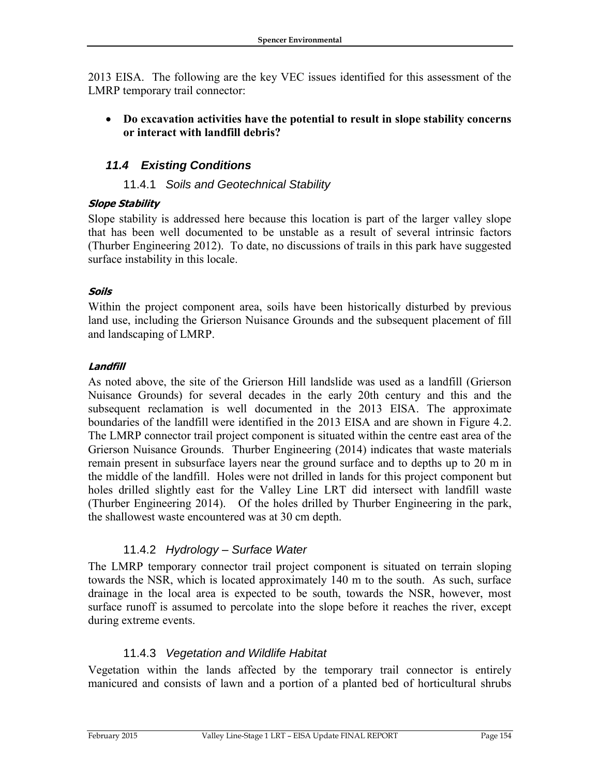2013 EISA. The following are the key VEC issues identified for this assessment of the LMRP temporary trail connector:

 **Do excavation activities have the potential to result in slope stability concerns or interact with landfill debris?**

# *11.4 Existing Conditions*

### 11.4.1 *Soils and Geotechnical Stability*

### **Slope Stability**

Slope stability is addressed here because this location is part of the larger valley slope that has been well documented to be unstable as a result of several intrinsic factors (Thurber Engineering 2012). To date, no discussions of trails in this park have suggested surface instability in this locale.

### **Soils**

Within the project component area, soils have been historically disturbed by previous land use, including the Grierson Nuisance Grounds and the subsequent placement of fill and landscaping of LMRP.

### **Landfill**

As noted above, the site of the Grierson Hill landslide was used as a landfill (Grierson Nuisance Grounds) for several decades in the early 20th century and this and the subsequent reclamation is well documented in the 2013 EISA. The approximate boundaries of the landfill were identified in the 2013 EISA and are shown in Figure 4.2. The LMRP connector trail project component is situated within the centre east area of the Grierson Nuisance Grounds. Thurber Engineering (2014) indicates that waste materials remain present in subsurface layers near the ground surface and to depths up to 20 m in the middle of the landfill. Holes were not drilled in lands for this project component but holes drilled slightly east for the Valley Line LRT did intersect with landfill waste (Thurber Engineering 2014). Of the holes drilled by Thurber Engineering in the park, the shallowest waste encountered was at 30 cm depth.

### 11.4.2 *Hydrology – Surface Water*

The LMRP temporary connector trail project component is situated on terrain sloping towards the NSR, which is located approximately 140 m to the south. As such, surface drainage in the local area is expected to be south, towards the NSR, however, most surface runoff is assumed to percolate into the slope before it reaches the river, except during extreme events.

### 11.4.3 *Vegetation and Wildlife Habitat*

Vegetation within the lands affected by the temporary trail connector is entirely manicured and consists of lawn and a portion of a planted bed of horticultural shrubs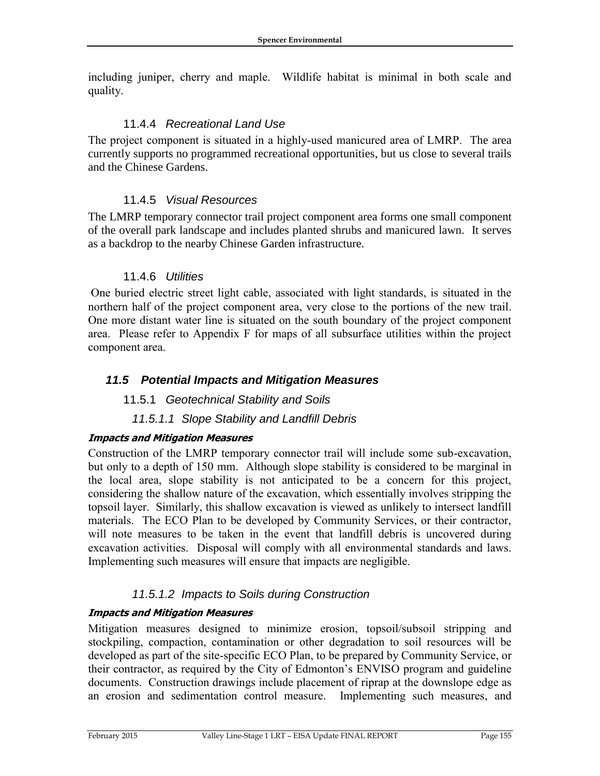including juniper, cherry and maple. Wildlife habitat is minimal in both scale and quality.

### 11.4.4 *Recreational Land Use*

The project component is situated in a highly-used manicured area of LMRP. The area currently supports no programmed recreational opportunities, but us close to several trails and the Chinese Gardens.

### 11.4.5 *Visual Resources*

The LMRP temporary connector trail project component area forms one small component of the overall park landscape and includes planted shrubs and manicured lawn. It serves as a backdrop to the nearby Chinese Garden infrastructure.

### 11.4.6 *Utilities*

One buried electric street light cable, associated with light standards, is situated in the northern half of the project component area, very close to the portions of the new trail. One more distant water line is situated on the south boundary of the project component area. Please refer to Appendix F for maps of all subsurface utilities within the project component area.

### *11.5 Potential Impacts and Mitigation Measures*

### 11.5.1 *Geotechnical Stability and Soils*

### *11.5.1.1 Slope Stability and Landfill Debris*

### **Impacts and Mitigation Measures**

Construction of the LMRP temporary connector trail will include some sub-excavation, but only to a depth of 150 mm. Although slope stability is considered to be marginal in the local area, slope stability is not anticipated to be a concern for this project, considering the shallow nature of the excavation, which essentially involves stripping the topsoil layer. Similarly, this shallow excavation is viewed as unlikely to intersect landfill materials. The ECO Plan to be developed by Community Services, or their contractor, will note measures to be taken in the event that landfill debris is uncovered during excavation activities. Disposal will comply with all environmental standards and laws. Implementing such measures will ensure that impacts are negligible.

### *11.5.1.2 Impacts to Soils during Construction*

### **Impacts and Mitigation Measures**

Mitigation measures designed to minimize erosion, topsoil/subsoil stripping and stockpiling, compaction, contamination or other degradation to soil resources will be developed as part of the site-specific ECO Plan, to be prepared by Community Service, or their contractor, as required by the City of Edmonton's ENVISO program and guideline documents. Construction drawings include placement of riprap at the downslope edge as an erosion and sedimentation control measure. Implementing such measures, and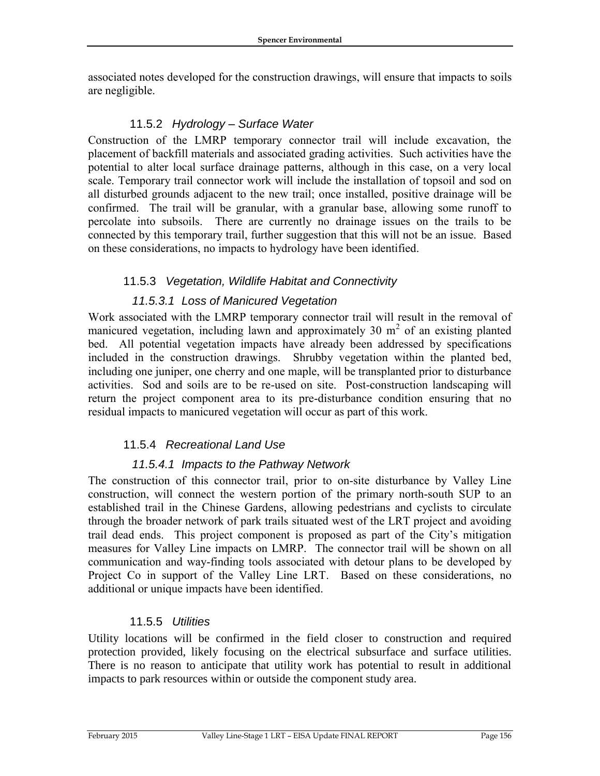associated notes developed for the construction drawings, will ensure that impacts to soils are negligible.

## 11.5.2 *Hydrology – Surface Water*

Construction of the LMRP temporary connector trail will include excavation, the placement of backfill materials and associated grading activities. Such activities have the potential to alter local surface drainage patterns, although in this case, on a very local scale. Temporary trail connector work will include the installation of topsoil and sod on all disturbed grounds adjacent to the new trail; once installed, positive drainage will be confirmed. The trail will be granular, with a granular base, allowing some runoff to percolate into subsoils. There are currently no drainage issues on the trails to be connected by this temporary trail, further suggestion that this will not be an issue. Based on these considerations, no impacts to hydrology have been identified.

# 11.5.3 *Vegetation, Wildlife Habitat and Connectivity*

### *11.5.3.1 Loss of Manicured Vegetation*

Work associated with the LMRP temporary connector trail will result in the removal of manicured vegetation, including lawn and approximately 30  $m<sup>2</sup>$  of an existing planted bed. All potential vegetation impacts have already been addressed by specifications included in the construction drawings. Shrubby vegetation within the planted bed, including one juniper, one cherry and one maple, will be transplanted prior to disturbance activities. Sod and soils are to be re-used on site. Post-construction landscaping will return the project component area to its pre-disturbance condition ensuring that no residual impacts to manicured vegetation will occur as part of this work.

### 11.5.4 *Recreational Land Use*

### *11.5.4.1 Impacts to the Pathway Network*

The construction of this connector trail, prior to on-site disturbance by Valley Line construction, will connect the western portion of the primary north-south SUP to an established trail in the Chinese Gardens, allowing pedestrians and cyclists to circulate through the broader network of park trails situated west of the LRT project and avoiding trail dead ends. This project component is proposed as part of the City's mitigation measures for Valley Line impacts on LMRP. The connector trail will be shown on all communication and way-finding tools associated with detour plans to be developed by Project Co in support of the Valley Line LRT. Based on these considerations, no additional or unique impacts have been identified.

### 11.5.5 *Utilities*

Utility locations will be confirmed in the field closer to construction and required protection provided, likely focusing on the electrical subsurface and surface utilities. There is no reason to anticipate that utility work has potential to result in additional impacts to park resources within or outside the component study area.